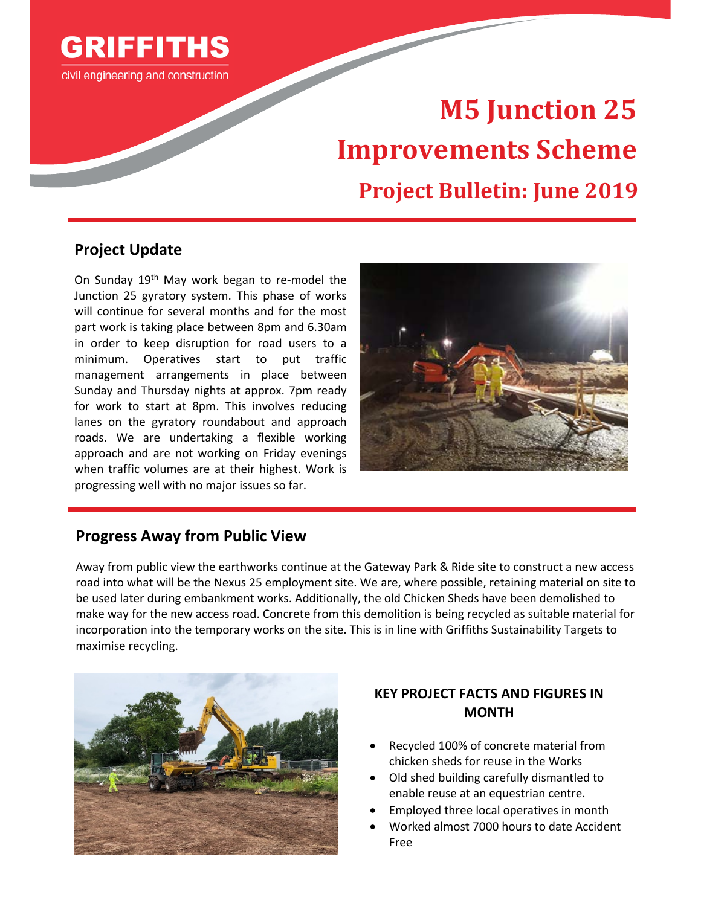

civil engineering and construction

# **M5 Junction 25 Improvements Scheme Project Bulletin: June 2019**

#### **Project Update**

On Sunday 19<sup>th</sup> May work began to re-model the Junction 25 gyratory system. This phase of works will continue for several months and for the most part work is taking place between 8pm and 6.30am in order to keep disruption for road users to a minimum. Operatives start to put traffic management arrangements in place between Sunday and Thursday nights at approx. 7pm ready for work to start at 8pm. This involves reducing lanes on the gyratory roundabout and approach roads. We are undertaking a flexible working approach and are not working on Friday evenings when traffic volumes are at their highest. Work is progressing well with no major issues so far.



#### **Progress Away from Public View**

Away from public view the earthworks continue at the Gateway Park & Ride site to construct a new access road into what will be the Nexus 25 employment site. We are, where possible, retaining material on site to be used later during embankment works. Additionally, the old Chicken Sheds have been demolished to make way for the new access road. Concrete from this demolition is being recycled as suitable material for incorporation into the temporary works on the site. This is in line with Griffiths Sustainability Targets to maximise recycling.



#### **KEY PROJECT FACTS AND FIGURES IN MONTH**

- Recycled 100% of concrete material from chicken sheds for reuse in the Works
- Old shed building carefully dismantled to enable reuse at an equestrian centre.
- Employed three local operatives in month
- Worked almost 7000 hours to date Accident Free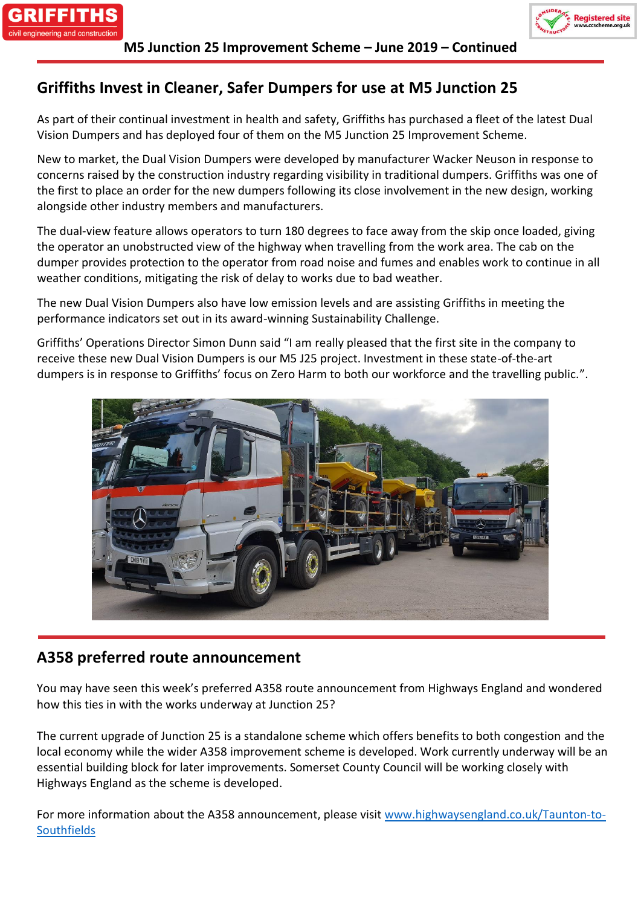



## **Griffiths Invest in Cleaner, Safer Dumpers for use at M5 Junction 25**

As part of their continual investment in health and safety, Griffiths has purchased a fleet of the latest Dual Vision Dumpers and has deployed four of them on the M5 Junction 25 Improvement Scheme.

New to market, the Dual Vision Dumpers were developed by manufacturer Wacker Neuson in response to concerns raised by the construction industry regarding visibility in traditional dumpers. Griffiths was one of the first to place an order for the new dumpers following its close involvement in the new design, working alongside other industry members and manufacturers.

The dual-view feature allows operators to turn 180 degrees to face away from the skip once loaded, giving the operator an unobstructed view of the highway when travelling from the work area. The cab on the dumper provides protection to the operator from road noise and fumes and enables work to continue in all weather conditions, mitigating the risk of delay to works due to bad weather.

The new Dual Vision Dumpers also have low emission levels and are assisting Griffiths in meeting the performance indicators set out in its award-winning Sustainability Challenge.

Griffiths' Operations Director Simon Dunn said "I am really pleased that the first site in the company to receive these new Dual Vision Dumpers is our M5 J25 project. Investment in these state-of-the-art dumpers is in response to Griffiths' focus on Zero Harm to both our workforce and the travelling public.".



## **A358 preferred route announcement**

You may have seen this week's preferred A358 route announcement from Highways England and wondered how this ties in with the works underway at Junction 25?

The current upgrade of Junction 25 is a standalone scheme which offers benefits to both congestion and the local economy while the wider A358 improvement scheme is developed. Work currently underway will be an essential building block for later improvements. Somerset County Council will be working closely with Highways England as the scheme is developed.

For more information about the A358 announcement, please visit [www.highwaysengland.co.uk/Taunton-to-](https://protect-eu.mimecast.com/s/eCQ5CgZEPtDJNwIo0HJ-?domain=urldefense.proofpoint.com)**[Southfields](https://protect-eu.mimecast.com/s/eCQ5CgZEPtDJNwIo0HJ-?domain=urldefense.proofpoint.com)**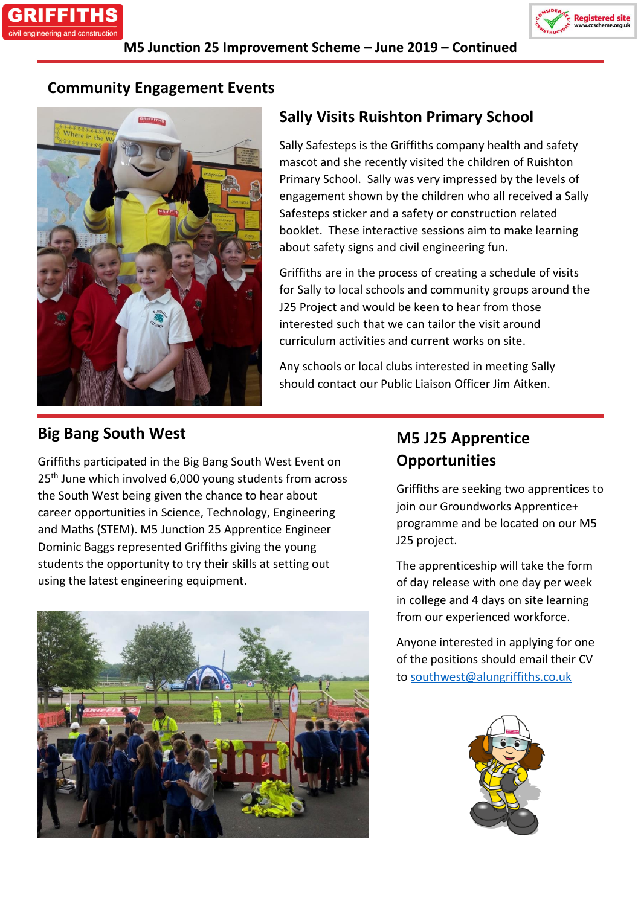



## **Community Engagement Events**



# **Sally Visits Ruishton Primary School**

Sally Safesteps is the Griffiths company health and safety mascot and she recently visited the children of Ruishton Primary School. Sally was very impressed by the levels of engagement shown by the children who all received a Sally Safesteps sticker and a safety or construction related booklet. These interactive sessions aim to make learning about safety signs and civil engineering fun.

Griffiths are in the process of creating a schedule of visits for Sally to local schools and community groups around the J25 Project and would be keen to hear from those interested such that we can tailor the visit around curriculum activities and current works on site.

Any schools or local clubs interested in meeting Sally should contact our Public Liaison Officer Jim Aitken.

## **Big Bang South West**

Griffiths participated in the Big Bang South West Event on 25<sup>th</sup> June which involved 6,000 young students from across the South West being given the chance to hear about career opportunities in Science, Technology, Engineering and Maths (STEM). M5 Junction 25 Apprentice Engineer Dominic Baggs represented Griffiths giving the young students the opportunity to try their skills at setting out using the latest engineering equipment.



# **M5 J25 Apprentice Opportunities**

Griffiths are seeking two apprentices to join our Groundworks Apprentice+ programme and be located on our M5 J25 project.

The apprenticeship will take the form of day release with one day per week in college and 4 days on site learning from our experienced workforce.

Anyone interested in applying for one of the positions should email their CV to [southwest@alungriffiths.co.uk](mailto:southwest@alungriffiths.co.uk)